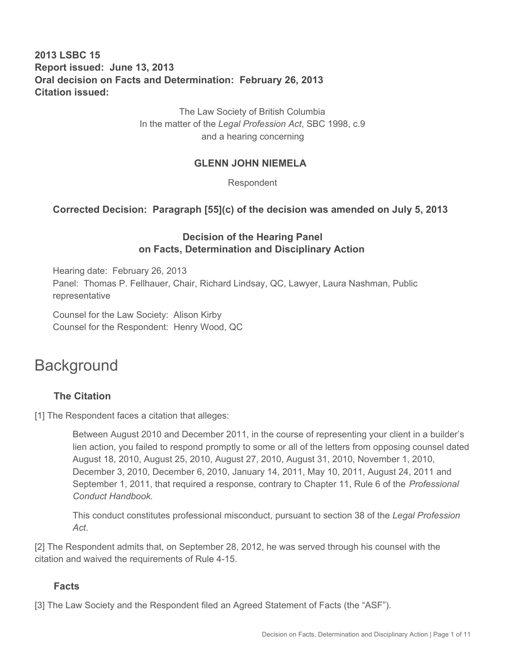### **2013 LSBC 15 Report issued: June 13, 2013 Oral decision on Facts and Determination: February 26, 2013 Citation issued:**

The Law Society of British Columbia In the matter of the *Legal Profession Act*, SBC 1998, c.9 and a hearing concerning

#### **GLENN JOHN NIEMELA**

Respondent

#### **Corrected Decision: Paragraph [55](c) of the decision was amended on July 5, 2013**

#### **Decision of the Hearing Panel on Facts, Determination and Disciplinary Action**

Hearing date: February 26, 2013 Panel: Thomas P. Fellhauer, Chair, Richard Lindsay, QC, Lawyer, Laura Nashman, Public representative

Counsel for the Law Society: Alison Kirby Counsel for the Respondent: Henry Wood, QC

# **Background**

#### **The Citation**

[1] The Respondent faces a citation that alleges:

Between August 2010 and December 2011, in the course of representing your client in a builder's lien action, you failed to respond promptly to some or all of the letters from opposing counsel dated August 18, 2010, August 25, 2010, August 27, 2010, August 31, 2010, November 1, 2010, December 3, 2010, December 6, 2010, January 14, 2011, May 10, 2011, August 24, 2011 and September 1, 2011, that required a response, contrary to Chapter 11, Rule 6 of the *Professional Conduct Handbook*.

This conduct constitutes professional misconduct, pursuant to section 38 of the *Legal Profession Act*.

[2] The Respondent admits that, on September 28, 2012, he was served through his counsel with the citation and waived the requirements of Rule 4-15.

#### **Facts**

[3] The Law Society and the Respondent filed an Agreed Statement of Facts (the "ASF").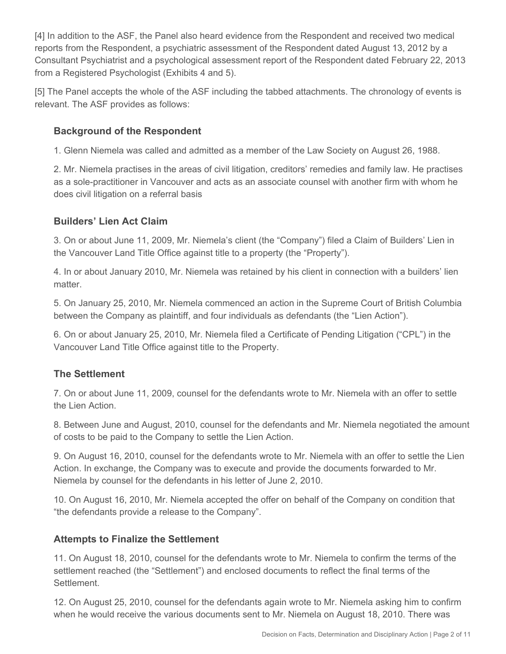[4] In addition to the ASF, the Panel also heard evidence from the Respondent and received two medical reports from the Respondent, a psychiatric assessment of the Respondent dated August 13, 2012 by a Consultant Psychiatrist and a psychological assessment report of the Respondent dated February 22, 2013 from a Registered Psychologist (Exhibits 4 and 5).

[5] The Panel accepts the whole of the ASF including the tabbed attachments. The chronology of events is relevant. The ASF provides as follows:

#### **Background of the Respondent**

1. Glenn Niemela was called and admitted as a member of the Law Society on August 26, 1988.

2. Mr. Niemela practises in the areas of civil litigation, creditors' remedies and family law. He practises as a sole-practitioner in Vancouver and acts as an associate counsel with another firm with whom he does civil litigation on a referral basis

#### **Builders' Lien Act Claim**

3. On or about June 11, 2009, Mr. Niemela's client (the "Company") filed a Claim of Builders' Lien in the Vancouver Land Title Office against title to a property (the "Property").

4. In or about January 2010, Mr. Niemela was retained by his client in connection with a builders' lien matter.

5. On January 25, 2010, Mr. Niemela commenced an action in the Supreme Court of British Columbia between the Company as plaintiff, and four individuals as defendants (the "Lien Action").

6. On or about January 25, 2010, Mr. Niemela filed a Certificate of Pending Litigation ("CPL") in the Vancouver Land Title Office against title to the Property.

# **The Settlement**

7. On or about June 11, 2009, counsel for the defendants wrote to Mr. Niemela with an offer to settle the Lien Action.

8. Between June and August, 2010, counsel for the defendants and Mr. Niemela negotiated the amount of costs to be paid to the Company to settle the Lien Action.

9. On August 16, 2010, counsel for the defendants wrote to Mr. Niemela with an offer to settle the Lien Action. In exchange, the Company was to execute and provide the documents forwarded to Mr. Niemela by counsel for the defendants in his letter of June 2, 2010.

10. On August 16, 2010, Mr. Niemela accepted the offer on behalf of the Company on condition that "the defendants provide a release to the Company".

#### **Attempts to Finalize the Settlement**

11. On August 18, 2010, counsel for the defendants wrote to Mr. Niemela to confirm the terms of the settlement reached (the "Settlement") and enclosed documents to reflect the final terms of the Settlement.

12. On August 25, 2010, counsel for the defendants again wrote to Mr. Niemela asking him to confirm when he would receive the various documents sent to Mr. Niemela on August 18, 2010. There was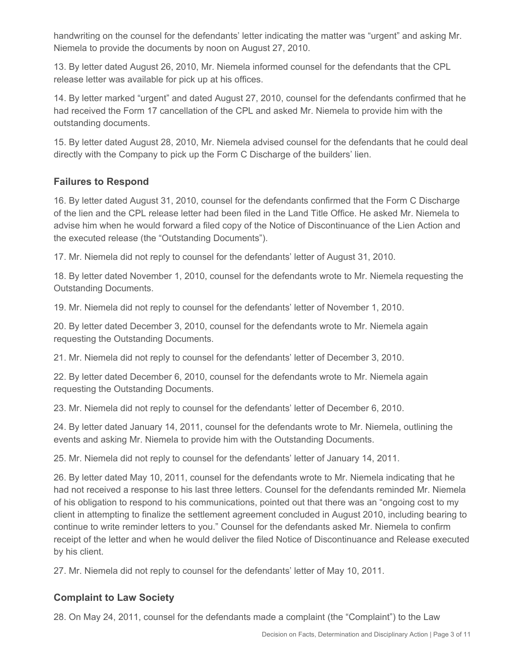handwriting on the counsel for the defendants' letter indicating the matter was "urgent" and asking Mr. Niemela to provide the documents by noon on August 27, 2010.

13. By letter dated August 26, 2010, Mr. Niemela informed counsel for the defendants that the CPL release letter was available for pick up at his offices.

14. By letter marked "urgent" and dated August 27, 2010, counsel for the defendants confirmed that he had received the Form 17 cancellation of the CPL and asked Mr. Niemela to provide him with the outstanding documents.

15. By letter dated August 28, 2010, Mr. Niemela advised counsel for the defendants that he could deal directly with the Company to pick up the Form C Discharge of the builders' lien.

#### **Failures to Respond**

16. By letter dated August 31, 2010, counsel for the defendants confirmed that the Form C Discharge of the lien and the CPL release letter had been filed in the Land Title Office. He asked Mr. Niemela to advise him when he would forward a filed copy of the Notice of Discontinuance of the Lien Action and the executed release (the "Outstanding Documents").

17. Mr. Niemela did not reply to counsel for the defendants' letter of August 31, 2010.

18. By letter dated November 1, 2010, counsel for the defendants wrote to Mr. Niemela requesting the Outstanding Documents.

19. Mr. Niemela did not reply to counsel for the defendants' letter of November 1, 2010.

20. By letter dated December 3, 2010, counsel for the defendants wrote to Mr. Niemela again requesting the Outstanding Documents.

21. Mr. Niemela did not reply to counsel for the defendants' letter of December 3, 2010.

22. By letter dated December 6, 2010, counsel for the defendants wrote to Mr. Niemela again requesting the Outstanding Documents.

23. Mr. Niemela did not reply to counsel for the defendants' letter of December 6, 2010.

24. By letter dated January 14, 2011, counsel for the defendants wrote to Mr. Niemela, outlining the events and asking Mr. Niemela to provide him with the Outstanding Documents.

25. Mr. Niemela did not reply to counsel for the defendants' letter of January 14, 2011.

26. By letter dated May 10, 2011, counsel for the defendants wrote to Mr. Niemela indicating that he had not received a response to his last three letters. Counsel for the defendants reminded Mr. Niemela of his obligation to respond to his communications, pointed out that there was an "ongoing cost to my client in attempting to finalize the settlement agreement concluded in August 2010, including bearing to continue to write reminder letters to you." Counsel for the defendants asked Mr. Niemela to confirm receipt of the letter and when he would deliver the filed Notice of Discontinuance and Release executed by his client.

27. Mr. Niemela did not reply to counsel for the defendants' letter of May 10, 2011.

# **Complaint to Law Society**

28. On May 24, 2011, counsel for the defendants made a complaint (the "Complaint") to the Law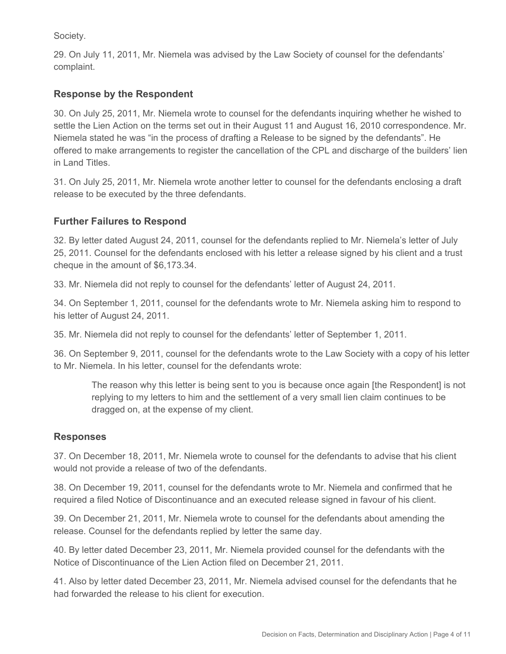Society.

29. On July 11, 2011, Mr. Niemela was advised by the Law Society of counsel for the defendants' complaint.

#### **Response by the Respondent**

30. On July 25, 2011, Mr. Niemela wrote to counsel for the defendants inquiring whether he wished to settle the Lien Action on the terms set out in their August 11 and August 16, 2010 correspondence. Mr. Niemela stated he was "in the process of drafting a Release to be signed by the defendants". He offered to make arrangements to register the cancellation of the CPL and discharge of the builders' lien in Land Titles.

31. On July 25, 2011, Mr. Niemela wrote another letter to counsel for the defendants enclosing a draft release to be executed by the three defendants.

#### **Further Failures to Respond**

32. By letter dated August 24, 2011, counsel for the defendants replied to Mr. Niemela's letter of July 25, 2011. Counsel for the defendants enclosed with his letter a release signed by his client and a trust cheque in the amount of \$6,173.34.

33. Mr. Niemela did not reply to counsel for the defendants' letter of August 24, 2011.

34. On September 1, 2011, counsel for the defendants wrote to Mr. Niemela asking him to respond to his letter of August 24, 2011.

35. Mr. Niemela did not reply to counsel for the defendants' letter of September 1, 2011.

36. On September 9, 2011, counsel for the defendants wrote to the Law Society with a copy of his letter to Mr. Niemela. In his letter, counsel for the defendants wrote:

The reason why this letter is being sent to you is because once again [the Respondent] is not replying to my letters to him and the settlement of a very small lien claim continues to be dragged on, at the expense of my client.

#### **Responses**

37. On December 18, 2011, Mr. Niemela wrote to counsel for the defendants to advise that his client would not provide a release of two of the defendants.

38. On December 19, 2011, counsel for the defendants wrote to Mr. Niemela and confirmed that he required a filed Notice of Discontinuance and an executed release signed in favour of his client.

39. On December 21, 2011, Mr. Niemela wrote to counsel for the defendants about amending the release. Counsel for the defendants replied by letter the same day.

40. By letter dated December 23, 2011, Mr. Niemela provided counsel for the defendants with the Notice of Discontinuance of the Lien Action filed on December 21, 2011.

41. Also by letter dated December 23, 2011, Mr. Niemela advised counsel for the defendants that he had forwarded the release to his client for execution.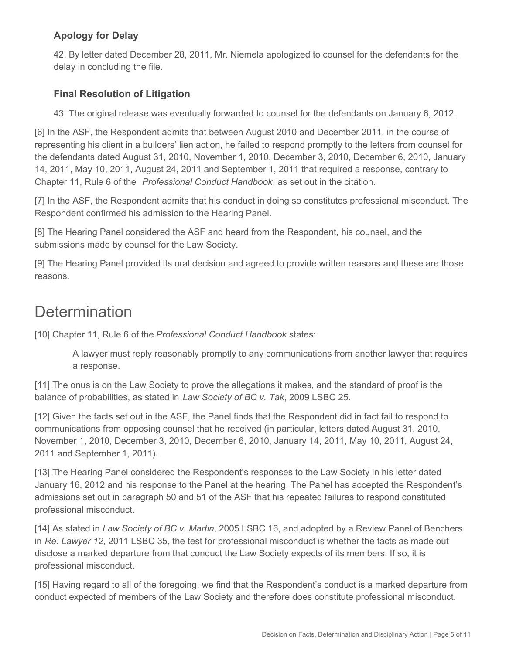# **Apology for Delay**

42. By letter dated December 28, 2011, Mr. Niemela apologized to counsel for the defendants for the delay in concluding the file.

### **Final Resolution of Litigation**

43. The original release was eventually forwarded to counsel for the defendants on January 6, 2012.

[6] In the ASF, the Respondent admits that between August 2010 and December 2011, in the course of representing his client in a builders' lien action, he failed to respond promptly to the letters from counsel for the defendants dated August 31, 2010, November 1, 2010, December 3, 2010, December 6, 2010, January 14, 2011, May 10, 2011, August 24, 2011 and September 1, 2011 that required a response, contrary to Chapter 11, Rule 6 of the *Professional Conduct Handbook*, as set out in the citation.

[7] In the ASF, the Respondent admits that his conduct in doing so constitutes professional misconduct. The Respondent confirmed his admission to the Hearing Panel.

[8] The Hearing Panel considered the ASF and heard from the Respondent, his counsel, and the submissions made by counsel for the Law Society.

[9] The Hearing Panel provided its oral decision and agreed to provide written reasons and these are those reasons.

# **Determination**

[10] Chapter 11, Rule 6 of the *Professional Conduct Handbook* states:

A lawyer must reply reasonably promptly to any communications from another lawyer that requires a response.

[11] The onus is on the Law Society to prove the allegations it makes, and the standard of proof is the balance of probabilities, as stated in *Law Society of BC v. Tak*, 2009 LSBC 25.

[12] Given the facts set out in the ASF, the Panel finds that the Respondent did in fact fail to respond to communications from opposing counsel that he received (in particular, letters dated August 31, 2010, November 1, 2010, December 3, 2010, December 6, 2010, January 14, 2011, May 10, 2011, August 24, 2011 and September 1, 2011).

[13] The Hearing Panel considered the Respondent's responses to the Law Society in his letter dated January 16, 2012 and his response to the Panel at the hearing. The Panel has accepted the Respondent's admissions set out in paragraph 50 and 51 of the ASF that his repeated failures to respond constituted professional misconduct.

[14] As stated in *Law Society of BC v. Martin*, 2005 LSBC 16, and adopted by a Review Panel of Benchers in *Re: Lawyer 12*, 2011 LSBC 35, the test for professional misconduct is whether the facts as made out disclose a marked departure from that conduct the Law Society expects of its members. If so, it is professional misconduct.

[15] Having regard to all of the foregoing, we find that the Respondent's conduct is a marked departure from conduct expected of members of the Law Society and therefore does constitute professional misconduct.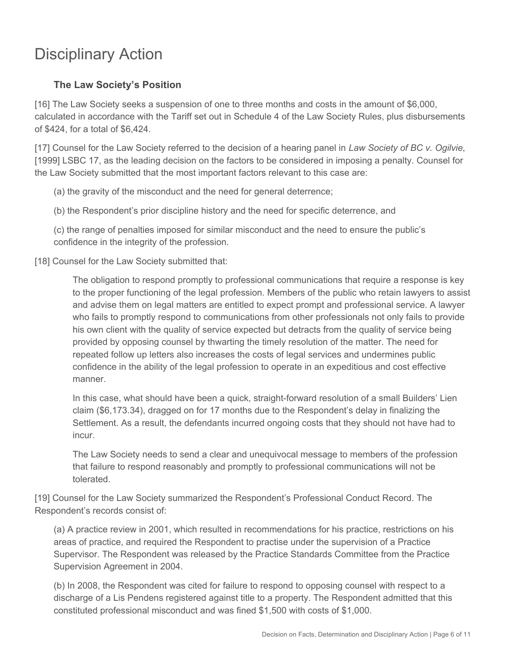# Disciplinary Action

# **The Law Society's Position**

[16] The Law Society seeks a suspension of one to three months and costs in the amount of \$6,000, calculated in accordance with the Tariff set out in Schedule 4 of the Law Society Rules, plus disbursements of  $$424$  for a total of  $$6,424$ .

[17] Counsel for the Law Society referred to the decision of a hearing panel in *Law Society of BC v. Ogilvie*, [1999] LSBC 17, as the leading decision on the factors to be considered in imposing a penalty. Counsel for the Law Society submitted that the most important factors relevant to this case are:

(a) the gravity of the misconduct and the need for general deterrence;

(b) the Respondent's prior discipline history and the need for specific deterrence, and

(c) the range of penalties imposed for similar misconduct and the need to ensure the public's confidence in the integrity of the profession.

[18] Counsel for the Law Society submitted that:

The obligation to respond promptly to professional communications that require a response is key to the proper functioning of the legal profession. Members of the public who retain lawyers to assist and advise them on legal matters are entitled to expect prompt and professional service. A lawyer who fails to promptly respond to communications from other professionals not only fails to provide his own client with the quality of service expected but detracts from the quality of service being provided by opposing counsel by thwarting the timely resolution of the matter. The need for repeated follow up letters also increases the costs of legal services and undermines public confidence in the ability of the legal profession to operate in an expeditious and cost effective manner.

In this case, what should have been a quick, straight-forward resolution of a small Builders' Lien claim (\$6,173.34), dragged on for 17 months due to the Respondent's delay in finalizing the Settlement. As a result, the defendants incurred ongoing costs that they should not have had to incur.

The Law Society needs to send a clear and unequivocal message to members of the profession that failure to respond reasonably and promptly to professional communications will not be tolerated.

[19] Counsel for the Law Society summarized the Respondent's Professional Conduct Record. The Respondent's records consist of:

(a) A practice review in 2001, which resulted in recommendations for his practice, restrictions on his areas of practice, and required the Respondent to practise under the supervision of a Practice Supervisor. The Respondent was released by the Practice Standards Committee from the Practice Supervision Agreement in 2004.

(b) In 2008, the Respondent was cited for failure to respond to opposing counsel with respect to a discharge of a Lis Pendens registered against title to a property. The Respondent admitted that this constituted professional misconduct and was fined \$1,500 with costs of \$1,000.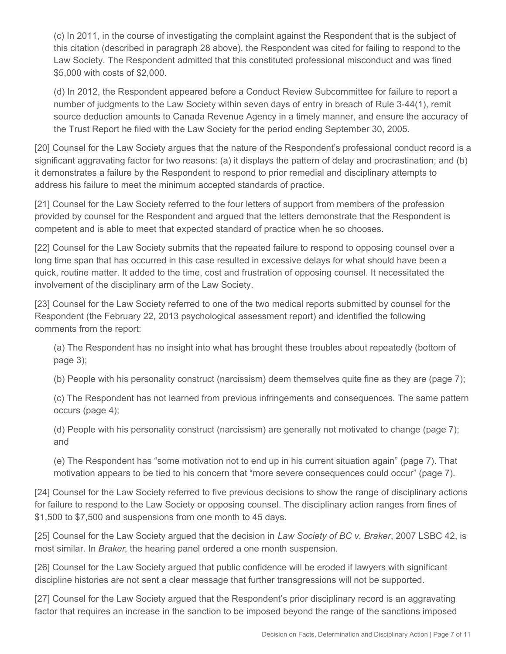(c) In 2011, in the course of investigating the complaint against the Respondent that is the subject of this citation (described in paragraph 28 above), the Respondent was cited for failing to respond to the Law Society. The Respondent admitted that this constituted professional misconduct and was fined \$5,000 with costs of \$2,000.

(d) In 2012, the Respondent appeared before a Conduct Review Subcommittee for failure to report a number of judgments to the Law Society within seven days of entry in breach of Rule 3-44(1), remit source deduction amounts to Canada Revenue Agency in a timely manner, and ensure the accuracy of the Trust Report he filed with the Law Society for the period ending September 30, 2005.

[20] Counsel for the Law Society argues that the nature of the Respondent's professional conduct record is a significant aggravating factor for two reasons: (a) it displays the pattern of delay and procrastination; and (b) it demonstrates a failure by the Respondent to respond to prior remedial and disciplinary attempts to address his failure to meet the minimum accepted standards of practice.

[21] Counsel for the Law Society referred to the four letters of support from members of the profession provided by counsel for the Respondent and argued that the letters demonstrate that the Respondent is competent and is able to meet that expected standard of practice when he so chooses.

[22] Counsel for the Law Society submits that the repeated failure to respond to opposing counsel over a long time span that has occurred in this case resulted in excessive delays for what should have been a quick, routine matter. It added to the time, cost and frustration of opposing counsel. It necessitated the involvement of the disciplinary arm of the Law Society.

[23] Counsel for the Law Society referred to one of the two medical reports submitted by counsel for the Respondent (the February 22, 2013 psychological assessment report) and identified the following comments from the report:

(a) The Respondent has no insight into what has brought these troubles about repeatedly (bottom of page 3);

(b) People with his personality construct (narcissism) deem themselves quite fine as they are (page 7);

(c) The Respondent has not learned from previous infringements and consequences. The same pattern occurs (page 4);

(d) People with his personality construct (narcissism) are generally not motivated to change (page 7); and

(e) The Respondent has "some motivation not to end up in his current situation again" (page 7). That motivation appears to be tied to his concern that "more severe consequences could occur" (page 7).

[24] Counsel for the Law Society referred to five previous decisions to show the range of disciplinary actions for failure to respond to the Law Society or opposing counsel. The disciplinary action ranges from fines of \$1,500 to \$7,500 and suspensions from one month to 45 days.

[25] Counsel for the Law Society argued that the decision in *Law Society of BC v. Braker*, 2007 LSBC 42, is most similar. In *Braker*, the hearing panel ordered a one month suspension.

[26] Counsel for the Law Society argued that public confidence will be eroded if lawyers with significant discipline histories are not sent a clear message that further transgressions will not be supported.

[27] Counsel for the Law Society argued that the Respondent's prior disciplinary record is an aggravating factor that requires an increase in the sanction to be imposed beyond the range of the sanctions imposed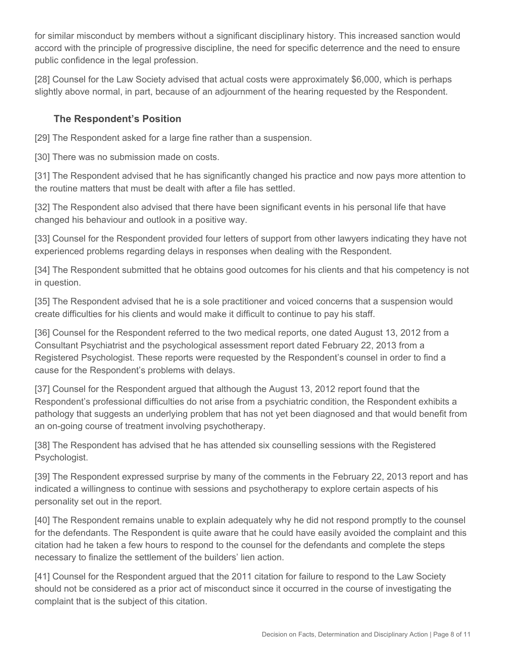for similar misconduct by members without a significant disciplinary history. This increased sanction would accord with the principle of progressive discipline, the need for specific deterrence and the need to ensure public confidence in the legal profession.

[28] Counsel for the Law Society advised that actual costs were approximately \$6,000, which is perhaps slightly above normal, in part, because of an adjournment of the hearing requested by the Respondent.

#### **The Respondent's Position**

[29] The Respondent asked for a large fine rather than a suspension.

[30] There was no submission made on costs.

[31] The Respondent advised that he has significantly changed his practice and now pays more attention to the routine matters that must be dealt with after a file has settled.

[32] The Respondent also advised that there have been significant events in his personal life that have changed his behaviour and outlook in a positive way.

[33] Counsel for the Respondent provided four letters of support from other lawyers indicating they have not experienced problems regarding delays in responses when dealing with the Respondent.

[34] The Respondent submitted that he obtains good outcomes for his clients and that his competency is not in question.

[35] The Respondent advised that he is a sole practitioner and voiced concerns that a suspension would create difficulties for his clients and would make it difficult to continue to pay his staff.

[36] Counsel for the Respondent referred to the two medical reports, one dated August 13, 2012 from a Consultant Psychiatrist and the psychological assessment report dated February 22, 2013 from a Registered Psychologist. These reports were requested by the Respondent's counsel in order to find a cause for the Respondent's problems with delays.

[37] Counsel for the Respondent argued that although the August 13, 2012 report found that the Respondent's professional difficulties do not arise from a psychiatric condition, the Respondent exhibits a pathology that suggests an underlying problem that has not yet been diagnosed and that would benefit from an on-going course of treatment involving psychotherapy.

[38] The Respondent has advised that he has attended six counselling sessions with the Registered Psychologist.

[39] The Respondent expressed surprise by many of the comments in the February 22, 2013 report and has indicated a willingness to continue with sessions and psychotherapy to explore certain aspects of his personality set out in the report.

[40] The Respondent remains unable to explain adequately why he did not respond promptly to the counsel for the defendants. The Respondent is quite aware that he could have easily avoided the complaint and this citation had he taken a few hours to respond to the counsel for the defendants and complete the steps necessary to finalize the settlement of the builders' lien action.

[41] Counsel for the Respondent argued that the 2011 citation for failure to respond to the Law Society should not be considered as a prior act of misconduct since it occurred in the course of investigating the complaint that is the subject of this citation.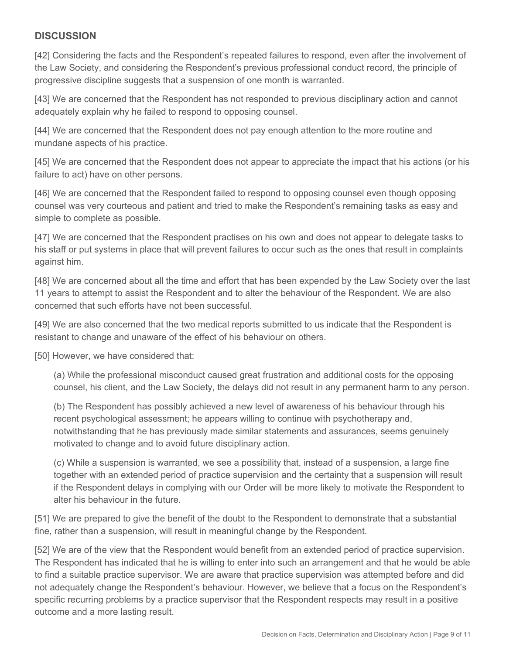#### **DISCUSSION**

[42] Considering the facts and the Respondent's repeated failures to respond, even after the involvement of the Law Society, and considering the Respondent's previous professional conduct record, the principle of progressive discipline suggests that a suspension of one month is warranted.

[43] We are concerned that the Respondent has not responded to previous disciplinary action and cannot adequately explain why he failed to respond to opposing counsel.

[44] We are concerned that the Respondent does not pay enough attention to the more routine and mundane aspects of his practice.

[45] We are concerned that the Respondent does not appear to appreciate the impact that his actions (or his failure to act) have on other persons.

[46] We are concerned that the Respondent failed to respond to opposing counsel even though opposing counsel was very courteous and patient and tried to make the Respondent's remaining tasks as easy and simple to complete as possible.

[47] We are concerned that the Respondent practises on his own and does not appear to delegate tasks to his staff or put systems in place that will prevent failures to occur such as the ones that result in complaints against him.

[48] We are concerned about all the time and effort that has been expended by the Law Society over the last 11 years to attempt to assist the Respondent and to alter the behaviour of the Respondent. We are also concerned that such efforts have not been successful.

[49] We are also concerned that the two medical reports submitted to us indicate that the Respondent is resistant to change and unaware of the effect of his behaviour on others.

[50] However, we have considered that:

(a) While the professional misconduct caused great frustration and additional costs for the opposing counsel, his client, and the Law Society, the delays did not result in any permanent harm to any person.

(b) The Respondent has possibly achieved a new level of awareness of his behaviour through his recent psychological assessment; he appears willing to continue with psychotherapy and, notwithstanding that he has previously made similar statements and assurances, seems genuinely motivated to change and to avoid future disciplinary action.

(c) While a suspension is warranted, we see a possibility that, instead of a suspension, a large fine together with an extended period of practice supervision and the certainty that a suspension will result if the Respondent delays in complying with our Order will be more likely to motivate the Respondent to alter his behaviour in the future.

[51] We are prepared to give the benefit of the doubt to the Respondent to demonstrate that a substantial fine, rather than a suspension, will result in meaningful change by the Respondent.

[52] We are of the view that the Respondent would benefit from an extended period of practice supervision. The Respondent has indicated that he is willing to enter into such an arrangement and that he would be able to find a suitable practice supervisor. We are aware that practice supervision was attempted before and did not adequately change the Respondent's behaviour. However, we believe that a focus on the Respondent's specific recurring problems by a practice supervisor that the Respondent respects may result in a positive outcome and a more lasting result.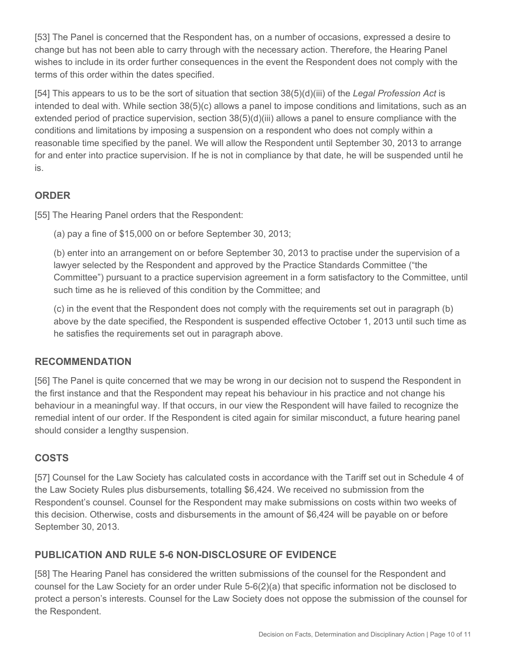[53] The Panel is concerned that the Respondent has, on a number of occasions, expressed a desire to change but has not been able to carry through with the necessary action. Therefore, the Hearing Panel wishes to include in its order further consequences in the event the Respondent does not comply with the terms of this order within the dates specified.

[54] This appears to us to be the sort of situation that section 38(5)(d)(iii) of the *Legal Profession Act* is intended to deal with. While section 38(5)(c) allows a panel to impose conditions and limitations, such as an extended period of practice supervision, section 38(5)(d)(iii) allows a panel to ensure compliance with the conditions and limitations by imposing a suspension on a respondent who does not comply within a reasonable time specified by the panel. We will allow the Respondent until September 30, 2013 to arrange for and enter into practice supervision. If he is not in compliance by that date, he will be suspended until he is.

# **ORDER**

[55] The Hearing Panel orders that the Respondent:

(a) pay a fine of \$15,000 on or before September 30, 2013;

(b) enter into an arrangement on or before September 30, 2013 to practise under the supervision of a lawyer selected by the Respondent and approved by the Practice Standards Committee ("the Committee") pursuant to a practice supervision agreement in a form satisfactory to the Committee, until such time as he is relieved of this condition by the Committee; and

(c) in the event that the Respondent does not comply with the requirements set out in paragraph (b) above by the date specified, the Respondent is suspended effective October 1, 2013 until such time as he satisfies the requirements set out in paragraph above.

#### **RECOMMENDATION**

[56] The Panel is quite concerned that we may be wrong in our decision not to suspend the Respondent in the first instance and that the Respondent may repeat his behaviour in his practice and not change his behaviour in a meaningful way. If that occurs, in our view the Respondent will have failed to recognize the remedial intent of our order. If the Respondent is cited again for similar misconduct, a future hearing panel should consider a lengthy suspension.

#### **COSTS**

[57] Counsel for the Law Society has calculated costs in accordance with the Tariff set out in Schedule 4 of the Law Society Rules plus disbursements, totalling \$6,424. We received no submission from the Respondent's counsel. Counsel for the Respondent may make submissions on costs within two weeks of this decision. Otherwise, costs and disbursements in the amount of \$6,424 will be payable on or before September 30, 2013.

#### **PUBLICATION AND RULE 5-6 NON-DISCLOSURE OF EVIDENCE**

[58] The Hearing Panel has considered the written submissions of the counsel for the Respondent and counsel for the Law Society for an order under Rule 5-6(2)(a) that specific information not be disclosed to protect a person's interests. Counsel for the Law Society does not oppose the submission of the counsel for the Respondent.